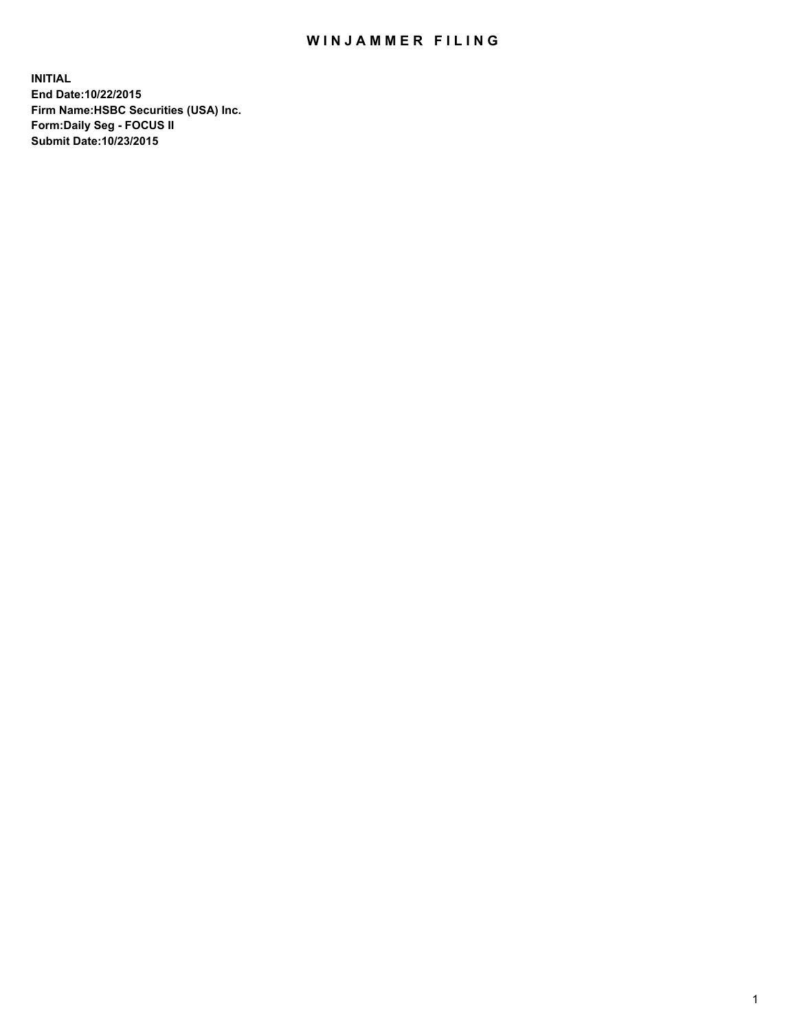## WIN JAMMER FILING

**INITIAL End Date:10/22/2015 Firm Name:HSBC Securities (USA) Inc. Form:Daily Seg - FOCUS II Submit Date:10/23/2015**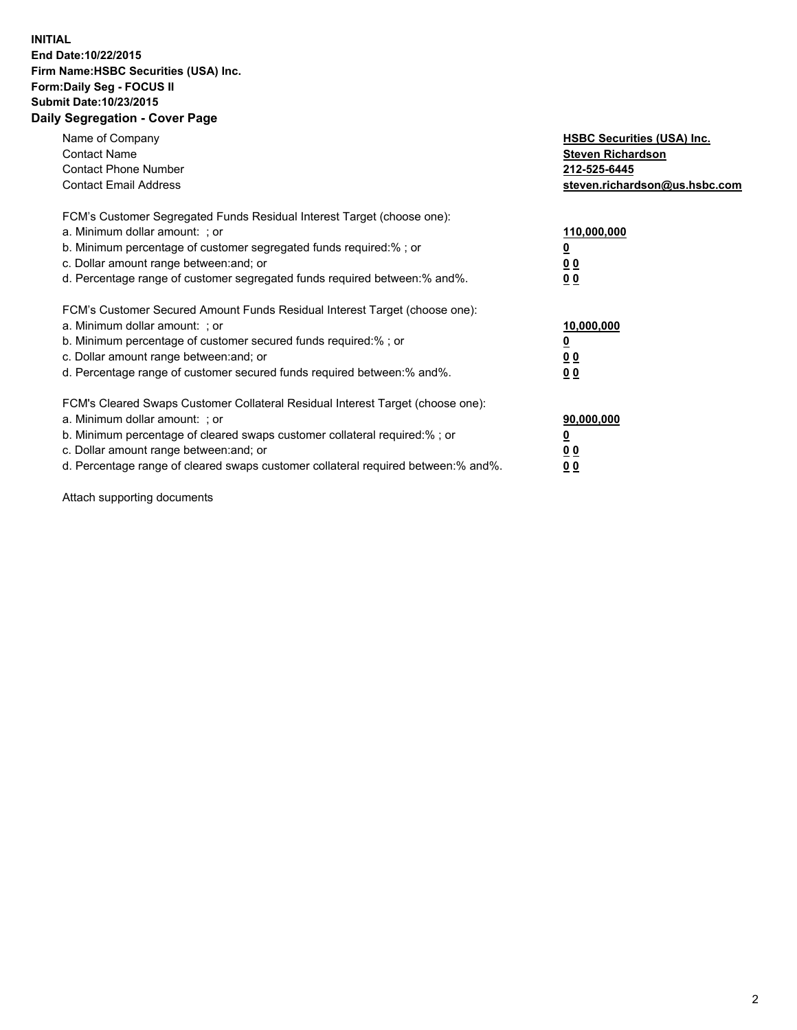## **INITIAL End Date:10/22/2015 Firm Name:HSBC Securities (USA) Inc. Form:Daily Seg - FOCUS II Submit Date:10/23/2015 Daily Segregation - Cover Page**

| Name of Company<br><b>Contact Name</b><br><b>Contact Phone Number</b><br><b>Contact Email Address</b>                                                                                                                                                                                                                         | <b>HSBC Securities (USA) Inc.</b><br><b>Steven Richardson</b><br>212-525-6445<br>steven.richardson@us.hsbc.com |
|-------------------------------------------------------------------------------------------------------------------------------------------------------------------------------------------------------------------------------------------------------------------------------------------------------------------------------|----------------------------------------------------------------------------------------------------------------|
| FCM's Customer Segregated Funds Residual Interest Target (choose one):<br>a. Minimum dollar amount: ; or<br>b. Minimum percentage of customer segregated funds required: % ; or<br>c. Dollar amount range between: and; or<br>d. Percentage range of customer segregated funds required between:% and%.                       | 110,000,000<br><u>0</u><br>0 <sub>0</sub><br>0 <sub>0</sub>                                                    |
| FCM's Customer Secured Amount Funds Residual Interest Target (choose one):<br>a. Minimum dollar amount: ; or<br>b. Minimum percentage of customer secured funds required:%; or<br>c. Dollar amount range between: and; or<br>d. Percentage range of customer secured funds required between:% and%.                           | 10,000,000<br><u>0</u><br>0 <sub>0</sub><br>0 <sub>0</sub>                                                     |
| FCM's Cleared Swaps Customer Collateral Residual Interest Target (choose one):<br>a. Minimum dollar amount: ; or<br>b. Minimum percentage of cleared swaps customer collateral required:%; or<br>c. Dollar amount range between: and; or<br>d. Percentage range of cleared swaps customer collateral required between:% and%. | 90,000,000<br><u>0</u><br>0 <sub>0</sub><br>0 <sub>0</sub>                                                     |

Attach supporting documents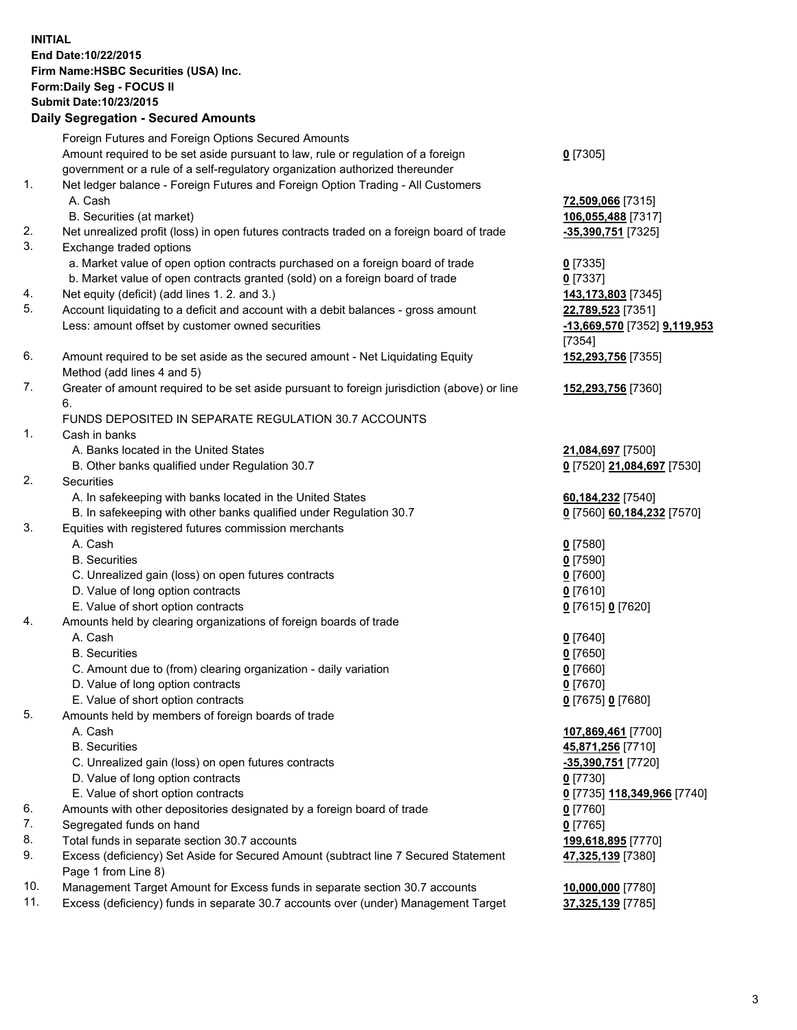**INITIAL End Date:10/22/2015 Firm Name:HSBC Securities (USA) Inc. Form:Daily Seg - FOCUS II Submit Date:10/23/2015 Daily Segregation - Secured Amounts** Foreign Futures and Foreign Options Secured Amounts Amount required to be set aside pursuant to law, rule or regulation of a foreign government or a rule of a self-regulatory organization authorized thereunder **0** [7305] 1. Net ledger balance - Foreign Futures and Foreign Option Trading - All Customers A. Cash **72,509,066** [7315] B. Securities (at market) **106,055,488** [7317] 2. Net unrealized profit (loss) in open futures contracts traded on a foreign board of trade **-35,390,751** [7325] 3. Exchange traded options a. Market value of open option contracts purchased on a foreign board of trade **0** [7335] b. Market value of open contracts granted (sold) on a foreign board of trade **0** [7337] 4. Net equity (deficit) (add lines 1. 2. and 3.) **143,173,803** [7345] 5. Account liquidating to a deficit and account with a debit balances - gross amount **22,789,523** [7351] Less: amount offset by customer owned securities **-13,669,570** [7352] **9,119,953** [7354] 6. Amount required to be set aside as the secured amount - Net Liquidating Equity Method (add lines 4 and 5) **152,293,756** [7355] 7. Greater of amount required to be set aside pursuant to foreign jurisdiction (above) or line 6. **152,293,756** [7360] FUNDS DEPOSITED IN SEPARATE REGULATION 30.7 ACCOUNTS 1. Cash in banks A. Banks located in the United States **21,084,697** [7500] B. Other banks qualified under Regulation 30.7 **0** [7520] **21,084,697** [7530] 2. Securities A. In safekeeping with banks located in the United States **60,184,232** [7540] B. In safekeeping with other banks qualified under Regulation 30.7 **0** [7560] **60,184,232** [7570] 3. Equities with registered futures commission merchants A. Cash **0** [7580] B. Securities **0** [7590] C. Unrealized gain (loss) on open futures contracts **0** [7600] D. Value of long option contracts **0** [7610] E. Value of short option contracts **0** [7615] **0** [7620] 4. Amounts held by clearing organizations of foreign boards of trade A. Cash **0** [7640] B. Securities **0** [7650] C. Amount due to (from) clearing organization - daily variation **0** [7660] D. Value of long option contracts **0** [7670] E. Value of short option contracts **0** [7675] **0** [7680] 5. Amounts held by members of foreign boards of trade A. Cash **107,869,461** [7700] B. Securities **45,871,256** [7710] C. Unrealized gain (loss) on open futures contracts **-35,390,751** [7720] D. Value of long option contracts **0** [7730] E. Value of short option contracts **0** [7735] **118,349,966** [7740] 6. Amounts with other depositories designated by a foreign board of trade **0** [7760] 7. Segregated funds on hand **0** [7765] 8. Total funds in separate section 30.7 accounts **199,618,895** [7770] 9. Excess (deficiency) Set Aside for Secured Amount (subtract line 7 Secured Statement Page 1 from Line 8) **47,325,139** [7380] 10. Management Target Amount for Excess funds in separate section 30.7 accounts **10,000,000** [7780]

11. Excess (deficiency) funds in separate 30.7 accounts over (under) Management Target **37,325,139** [7785]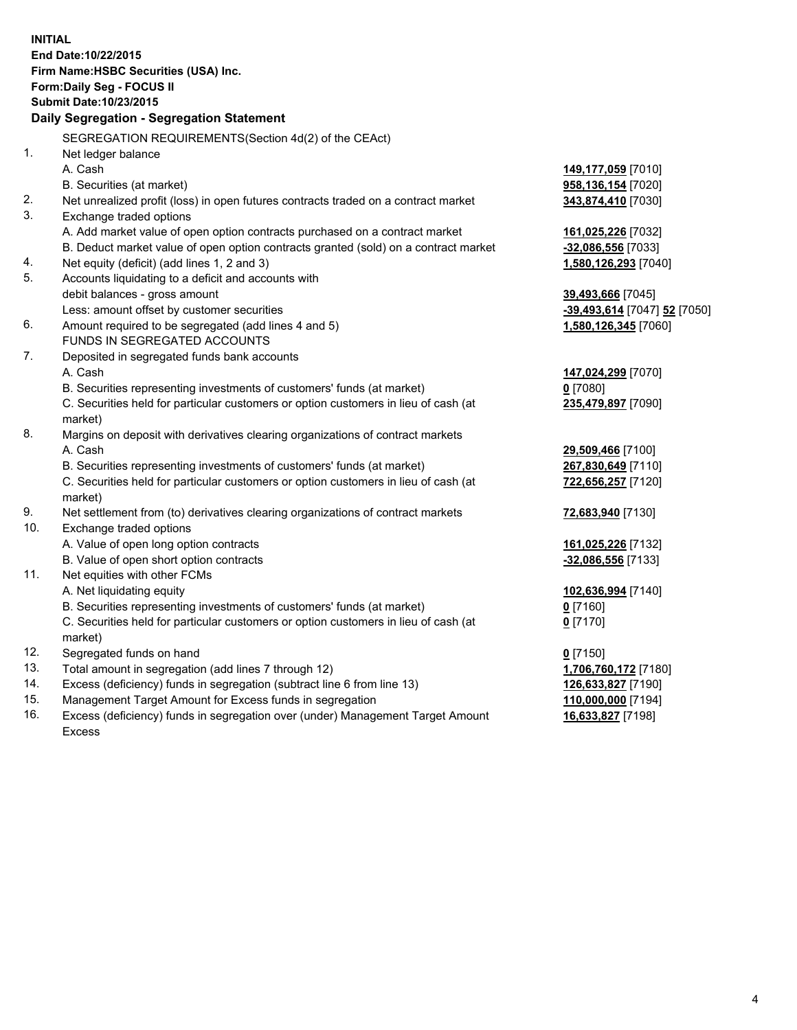|     | <b>INITIAL</b><br>End Date: 10/22/2015<br>Firm Name: HSBC Securities (USA) Inc.<br>Form: Daily Seg - FOCUS II |                              |  |  |  |
|-----|---------------------------------------------------------------------------------------------------------------|------------------------------|--|--|--|
|     | Submit Date: 10/23/2015                                                                                       |                              |  |  |  |
|     | Daily Segregation - Segregation Statement                                                                     |                              |  |  |  |
|     | SEGREGATION REQUIREMENTS(Section 4d(2) of the CEAct)                                                          |                              |  |  |  |
| 1.  | Net ledger balance                                                                                            |                              |  |  |  |
|     | A. Cash                                                                                                       | 149,177,059 [7010]           |  |  |  |
|     | B. Securities (at market)                                                                                     | 958,136,154 [7020]           |  |  |  |
| 2.  | Net unrealized profit (loss) in open futures contracts traded on a contract market                            | 343,874,410 [7030]           |  |  |  |
| 3.  | Exchange traded options                                                                                       |                              |  |  |  |
|     | A. Add market value of open option contracts purchased on a contract market                                   | 161,025,226 [7032]           |  |  |  |
|     | B. Deduct market value of open option contracts granted (sold) on a contract market                           | -32,086,556 [7033]           |  |  |  |
| 4.  | Net equity (deficit) (add lines 1, 2 and 3)                                                                   | 1,580,126,293 [7040]         |  |  |  |
| 5.  | Accounts liquidating to a deficit and accounts with                                                           |                              |  |  |  |
|     | debit balances - gross amount                                                                                 | 39,493,666 [7045]            |  |  |  |
|     | Less: amount offset by customer securities                                                                    | -39,493,614 [7047] 52 [7050] |  |  |  |
| 6.  | Amount required to be segregated (add lines 4 and 5)                                                          | 1,580,126,345 [7060]         |  |  |  |
|     | FUNDS IN SEGREGATED ACCOUNTS                                                                                  |                              |  |  |  |
| 7.  | Deposited in segregated funds bank accounts                                                                   |                              |  |  |  |
|     | A. Cash                                                                                                       | 147,024,299 [7070]           |  |  |  |
|     | B. Securities representing investments of customers' funds (at market)                                        | $0$ [7080]                   |  |  |  |
|     | C. Securities held for particular customers or option customers in lieu of cash (at<br>market)                | 235,479,897 [7090]           |  |  |  |
| 8.  | Margins on deposit with derivatives clearing organizations of contract markets                                |                              |  |  |  |
|     | A. Cash                                                                                                       | 29,509,466 [7100]            |  |  |  |
|     | B. Securities representing investments of customers' funds (at market)                                        | 267,830,649 [7110]           |  |  |  |
|     | C. Securities held for particular customers or option customers in lieu of cash (at<br>market)                | 722,656,257 [7120]           |  |  |  |
| 9.  | Net settlement from (to) derivatives clearing organizations of contract markets                               | 72,683,940 [7130]            |  |  |  |
| 10. | Exchange traded options                                                                                       |                              |  |  |  |
|     | A. Value of open long option contracts                                                                        | 161,025,226 [7132]           |  |  |  |
|     | B. Value of open short option contracts                                                                       | -32,086,556 [7133]           |  |  |  |
| 11. | Net equities with other FCMs                                                                                  |                              |  |  |  |
|     | A. Net liquidating equity                                                                                     | 102,636,994 [7140]           |  |  |  |
|     | B. Securities representing investments of customers' funds (at market)                                        | $0$ [7160]                   |  |  |  |
|     | C. Securities held for particular customers or option customers in lieu of cash (at<br>market)                | $0$ [7170]                   |  |  |  |
| 12. | Segregated funds on hand                                                                                      | $0$ [7150]                   |  |  |  |
| 13. | Total amount in segregation (add lines 7 through 12)                                                          | 1,706,760,172 [7180]         |  |  |  |
| 14. | Excess (deficiency) funds in segregation (subtract line 6 from line 13)                                       | 126,633,827 [7190]           |  |  |  |
| 15. | Management Target Amount for Excess funds in segregation                                                      | 110,000,000 [7194]           |  |  |  |
| 16. | Excess (deficiency) funds in segregation over (under) Management Target Amount                                | 16,633,827 [7198]            |  |  |  |

16. Excess (deficiency) funds in segregation over (under) Management Target Amount Excess